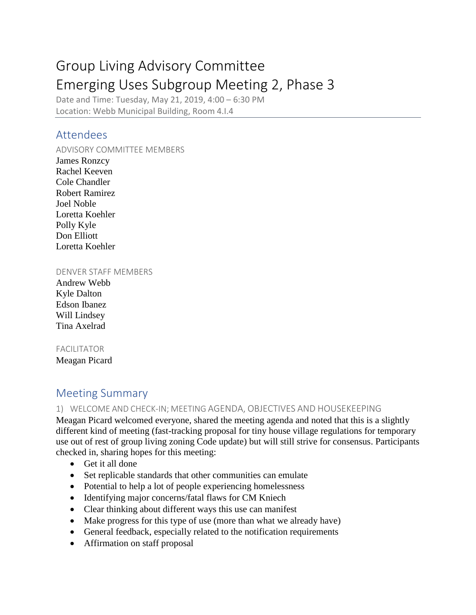# Group Living Advisory Committee Emerging Uses Subgroup Meeting 2, Phase 3

Date and Time: Tuesday, May 21, 2019, 4:00 – 6:30 PM Location: Webb Municipal Building, Room 4.I.4

### Attendees

ADVISORY COMMITTEE MEMBERS James Ronzcy Rachel Keeven Cole Chandler

Robert Ramirez Joel Noble Loretta Koehler Polly Kyle Don Elliott Loretta Koehler

#### DENVER STAFF MEMBERS

Andrew Webb Kyle Dalton Edson Ibanez Will Lindsey Tina Axelrad

### FACILITATOR

Meagan Picard

## Meeting Summary

### 1) WELCOME AND CHECK-IN; MEETING AGENDA, OBJECTIVES AND HOUSEKEEPING

Meagan Picard welcomed everyone, shared the meeting agenda and noted that this is a slightly different kind of meeting (fast-tracking proposal for tiny house village regulations for temporary use out of rest of group living zoning Code update) but will still strive for consensus. Participants checked in, sharing hopes for this meeting:

- Get it all done
- Set replicable standards that other communities can emulate
- Potential to help a lot of people experiencing homelessness
- Identifying major concerns/fatal flaws for CM Kniech
- Clear thinking about different ways this use can manifest
- Make progress for this type of use (more than what we already have)
- General feedback, especially related to the notification requirements
- Affirmation on staff proposal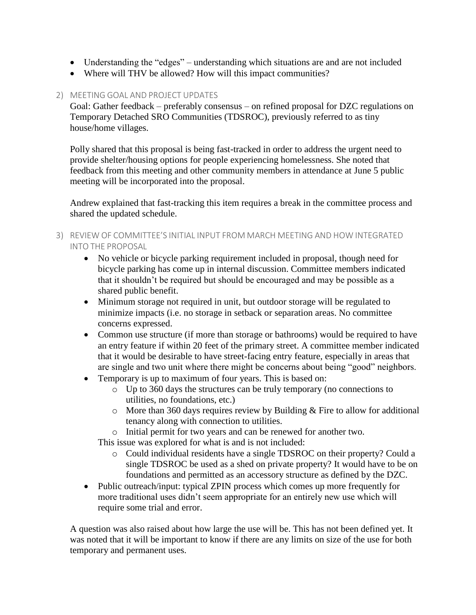- Understanding the "edges" understanding which situations are and are not included
- Where will THV be allowed? How will this impact communities?

### 2) MEETING GOAL AND PROJECT UPDATES

Goal: Gather feedback – preferably consensus – on refined proposal for DZC regulations on Temporary Detached SRO Communities (TDSROC), previously referred to as tiny house/home villages.

Polly shared that this proposal is being fast-tracked in order to address the urgent need to provide shelter/housing options for people experiencing homelessness. She noted that feedback from this meeting and other community members in attendance at June 5 public meeting will be incorporated into the proposal.

Andrew explained that fast-tracking this item requires a break in the committee process and shared the updated schedule.

- 3) REVIEW OF COMMITTEE'S INITIAL INPUT FROM MARCH MEETING AND HOW INTEGRATED INTO THE PROPOSAL
	- No vehicle or bicycle parking requirement included in proposal, though need for bicycle parking has come up in internal discussion. Committee members indicated that it shouldn't be required but should be encouraged and may be possible as a shared public benefit.
	- Minimum storage not required in unit, but outdoor storage will be regulated to minimize impacts (i.e. no storage in setback or separation areas. No committee concerns expressed.
	- Common use structure (if more than storage or bathrooms) would be required to have an entry feature if within 20 feet of the primary street. A committee member indicated that it would be desirable to have street-facing entry feature, especially in areas that are single and two unit where there might be concerns about being "good" neighbors.
	- Temporary is up to maximum of four years. This is based on:
		- o Up to 360 days the structures can be truly temporary (no connections to utilities, no foundations, etc.)
		- $\circ$  More than 360 days requires review by Building & Fire to allow for additional tenancy along with connection to utilities.
		- o Initial permit for two years and can be renewed for another two.

This issue was explored for what is and is not included:

- o Could individual residents have a single TDSROC on their property? Could a single TDSROC be used as a shed on private property? It would have to be on foundations and permitted as an accessory structure as defined by the DZC.
- Public outreach/input: typical ZPIN process which comes up more frequently for more traditional uses didn't seem appropriate for an entirely new use which will require some trial and error.

A question was also raised about how large the use will be. This has not been defined yet. It was noted that it will be important to know if there are any limits on size of the use for both temporary and permanent uses.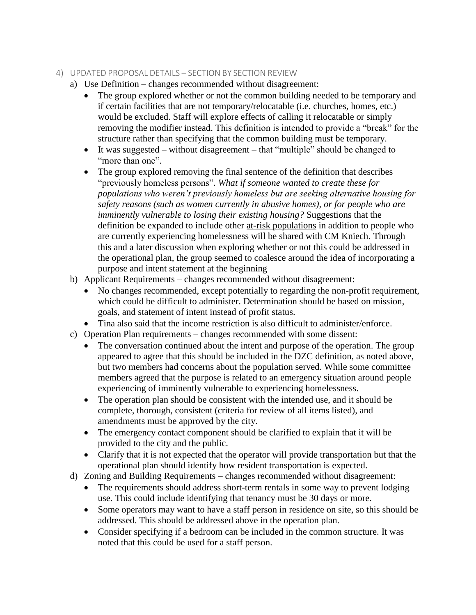### 4) UPDATED PROPOSAL DETAILS – SECTION BY SECTION REVIEW

- a) Use Definition changes recommended without disagreement:
	- The group explored whether or not the common building needed to be temporary and if certain facilities that are not temporary/relocatable (i.e. churches, homes, etc.) would be excluded. Staff will explore effects of calling it relocatable or simply removing the modifier instead. This definition is intended to provide a "break" for the structure rather than specifying that the common building must be temporary.
	- It was suggested without disagreement that "multiple" should be changed to "more than one".
	- The group explored removing the final sentence of the definition that describes "previously homeless persons". *What if someone wanted to create these for populations who weren't previously homeless but are seeking alternative housing for safety reasons (such as women currently in abusive homes), or for people who are imminently vulnerable to losing their existing housing?* Suggestions that the definition be expanded to include other at-risk populations in addition to people who are currently experiencing homelessness will be shared with CM Kniech. Through this and a later discussion when exploring whether or not this could be addressed in the operational plan, the group seemed to coalesce around the idea of incorporating a purpose and intent statement at the beginning
- b) Applicant Requirements changes recommended without disagreement:
	- No changes recommended, except potentially to regarding the non-profit requirement, which could be difficult to administer. Determination should be based on mission, goals, and statement of intent instead of profit status.
	- Tina also said that the income restriction is also difficult to administer/enforce.
- c) Operation Plan requirements changes recommended with some dissent:
	- The conversation continued about the intent and purpose of the operation. The group appeared to agree that this should be included in the DZC definition, as noted above, but two members had concerns about the population served. While some committee members agreed that the purpose is related to an emergency situation around people experiencing of imminently vulnerable to experiencing homelessness.
	- The operation plan should be consistent with the intended use, and it should be complete, thorough, consistent (criteria for review of all items listed), and amendments must be approved by the city.
	- The emergency contact component should be clarified to explain that it will be provided to the city and the public.
	- Clarify that it is not expected that the operator will provide transportation but that the operational plan should identify how resident transportation is expected.
- d) Zoning and Building Requirements changes recommended without disagreement:
	- The requirements should address short-term rentals in some way to prevent lodging use. This could include identifying that tenancy must be 30 days or more.
	- Some operators may want to have a staff person in residence on site, so this should be addressed. This should be addressed above in the operation plan.
	- Consider specifying if a bedroom can be included in the common structure. It was noted that this could be used for a staff person.